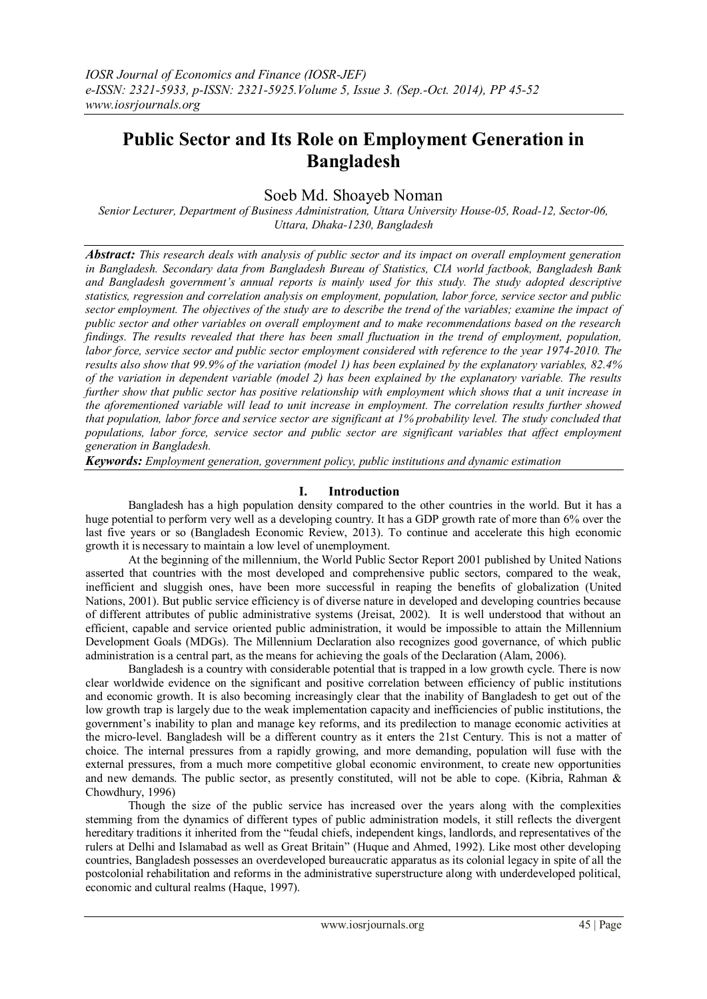# **Public Sector and Its Role on Employment Generation in Bangladesh**

## Soeb Md. Shoayeb Noman

*Senior Lecturer, Department of Business Administration, Uttara University House-05, Road-12, Sector-06, Uttara, Dhaka-1230, Bangladesh*

*Abstract: This research deals with analysis of public sector and its impact on overall employment generation in Bangladesh. Secondary data from Bangladesh Bureau of Statistics, CIA world factbook, Bangladesh Bank and Bangladesh government's annual reports is mainly used for this study. The study adopted descriptive statistics, regression and correlation analysis on employment, population, labor force, service sector and public sector employment. The objectives of the study are to describe the trend of the variables; examine the impact of public sector and other variables on overall employment and to make recommendations based on the research findings. The results revealed that there has been small fluctuation in the trend of employment, population, labor force, service sector and public sector employment considered with reference to the year 1974-2010. The results also show that 99.9% of the variation (model 1) has been explained by the explanatory variables, 82.4% of the variation in dependent variable (model 2) has been explained by the explanatory variable. The results further show that public sector has positive relationship with employment which shows that a unit increase in the aforementioned variable will lead to unit increase in employment. The correlation results further showed that population, labor force and service sector are significant at 1% probability level. The study concluded that populations, labor force, service sector and public sector are significant variables that affect employment generation in Bangladesh.*

*Keywords: Employment generation, government policy, public institutions and dynamic estimation* 

## **I. Introduction**

Bangladesh has a high population density compared to the other countries in the world. But it has a huge potential to perform very well as a developing country. It has a GDP growth rate of more than 6% over the last five years or so (Bangladesh Economic Review, 2013). To continue and accelerate this high economic growth it is necessary to maintain a low level of unemployment.

At the beginning of the millennium, the World Public Sector Report 2001 published by United Nations asserted that countries with the most developed and comprehensive public sectors, compared to the weak, inefficient and sluggish ones, have been more successful in reaping the benefits of globalization (United Nations, 2001). But public service efficiency is of diverse nature in developed and developing countries because of different attributes of public administrative systems (Jreisat, 2002). It is well understood that without an efficient, capable and service oriented public administration, it would be impossible to attain the Millennium Development Goals (MDGs). The Millennium Declaration also recognizes good governance, of which public administration is a central part, as the means for achieving the goals of the Declaration (Alam, 2006).

Bangladesh is a country with considerable potential that is trapped in a low growth cycle. There is now clear worldwide evidence on the significant and positive correlation between efficiency of public institutions and economic growth. It is also becoming increasingly clear that the inability of Bangladesh to get out of the low growth trap is largely due to the weak implementation capacity and inefficiencies of public institutions, the government's inability to plan and manage key reforms, and its predilection to manage economic activities at the micro-level. Bangladesh will be a different country as it enters the 21st Century. This is not a matter of choice. The internal pressures from a rapidly growing, and more demanding, population will fuse with the external pressures, from a much more competitive global economic environment, to create new opportunities and new demands. The public sector, as presently constituted, will not be able to cope. (Kibria, Rahman & Chowdhury, 1996)

Though the size of the public service has increased over the years along with the complexities stemming from the dynamics of different types of public administration models, it still reflects the divergent hereditary traditions it inherited from the "feudal chiefs, independent kings, landlords, and representatives of the rulers at Delhi and Islamabad as well as Great Britain" (Huque and Ahmed, 1992). Like most other developing countries, Bangladesh possesses an overdeveloped bureaucratic apparatus as its colonial legacy in spite of all the postcolonial rehabilitation and reforms in the administrative superstructure along with underdeveloped political, economic and cultural realms (Haque, 1997).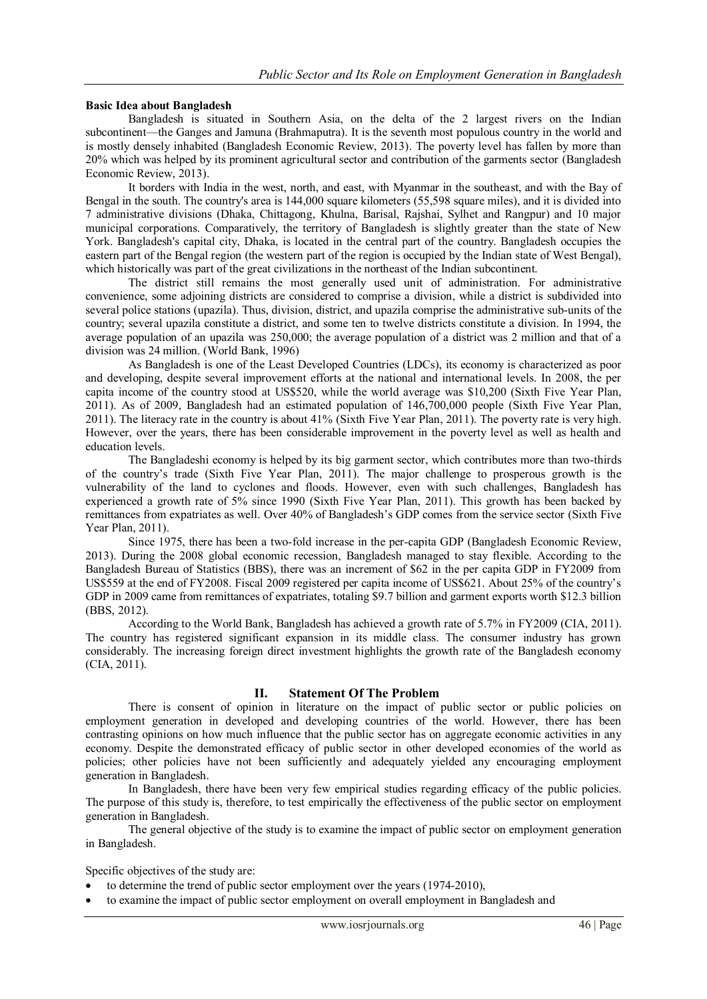#### **Basic Idea about Bangladesh**

Bangladesh is situated in Southern Asia, on the delta of the 2 largest rivers on the Indian subcontinent—the Ganges and Jamuna (Brahmaputra). It is the seventh most populous country in the world and is mostly densely inhabited (Bangladesh Economic Review, 2013). The poverty level has fallen by more than 20% which was helped by its prominent agricultural sector and contribution of the garments sector (Bangladesh Economic Review, 2013).

It borders with India in the west, north, and east, with Myanmar in the southeast, and with the Bay of Bengal in the south. The country's area is 144,000 square kilometers (55,598 square miles), and it is divided into 7 administrative divisions (Dhaka, Chittagong, Khulna, Barisal, Rajshai, Sylhet and Rangpur) and 10 major municipal corporations. Comparatively, the territory of Bangladesh is slightly greater than the state of New York. Bangladesh's capital city, Dhaka, is located in the central part of the country. Bangladesh occupies the eastern part of the Bengal region (the western part of the region is occupied by the Indian state of West Bengal), which historically was part of the great civilizations in the northeast of the Indian subcontinent.

The district still remains the most generally used unit of administration. For administrative convenience, some adjoining districts are considered to comprise a division, while a district is subdivided into several police stations (upazila). Thus, division, district, and upazila comprise the administrative sub-units of the country; several upazila constitute a district, and some ten to twelve districts constitute a division. In 1994, the average population of an upazila was 250,000; the average population of a district was 2 million and that of a division was 24 million. (World Bank, 1996)

As Bangladesh is one of the Least Developed Countries (LDCs), its economy is characterized as poor and developing, despite several improvement efforts at the national and international levels. In 2008, the per capita income of the country stood at US\$520, while the world average was \$10,200 (Sixth Five Year Plan, 2011). As of 2009, Bangladesh had an estimated population of 146,700,000 people (Sixth Five Year Plan, 2011). The literacy rate in the country is about 41% (Sixth Five Year Plan, 2011). The poverty rate is very high. However, over the years, there has been considerable improvement in the poverty level as well as health and education levels.

The Bangladeshi economy is helped by its big garment sector, which contributes more than two-thirds of the country's trade (Sixth Five Year Plan, 2011). The major challenge to prosperous growth is the vulnerability of the land to cyclones and floods. However, even with such challenges, Bangladesh has experienced a growth rate of 5% since 1990 (Sixth Five Year Plan, 2011). This growth has been backed by remittances from expatriates as well. Over 40% of Bangladesh's GDP comes from the service sector (Sixth Five Year Plan, 2011).

Since 1975, there has been a two-fold increase in the per-capita GDP (Bangladesh Economic Review, 2013). During the 2008 global economic recession, Bangladesh managed to stay flexible. According to the Bangladesh Bureau of Statistics (BBS), there was an increment of \$62 in the per capita GDP in FY2009 from US\$559 at the end of FY2008. Fiscal 2009 registered per capita income of US\$621. About 25% of the country's GDP in 2009 came from remittances of expatriates, totaling \$9.7 billion and garment exports worth \$12.3 billion (BBS, 2012).

According to the World Bank, Bangladesh has achieved a growth rate of 5.7% in FY2009 (CIA, 2011). The country has registered significant expansion in its middle class. The consumer industry has grown considerably. The increasing foreign direct investment highlights the growth rate of the Bangladesh economy (CIA, 2011).

### **II. Statement Of The Problem**

There is consent of opinion in literature on the impact of public sector or public policies on employment generation in developed and developing countries of the world. However, there has been contrasting opinions on how much influence that the public sector has on aggregate economic activities in any economy. Despite the demonstrated efficacy of public sector in other developed economies of the world as policies; other policies have not been sufficiently and adequately yielded any encouraging employment generation in Bangladesh.

In Bangladesh, there have been very few empirical studies regarding efficacy of the public policies. The purpose of this study is, therefore, to test empirically the effectiveness of the public sector on employment generation in Bangladesh.

The general objective of the study is to examine the impact of public sector on employment generation in Bangladesh.

Specific objectives of the study are:

- to determine the trend of public sector employment over the years (1974-2010),
- to examine the impact of public sector employment on overall employment in Bangladesh and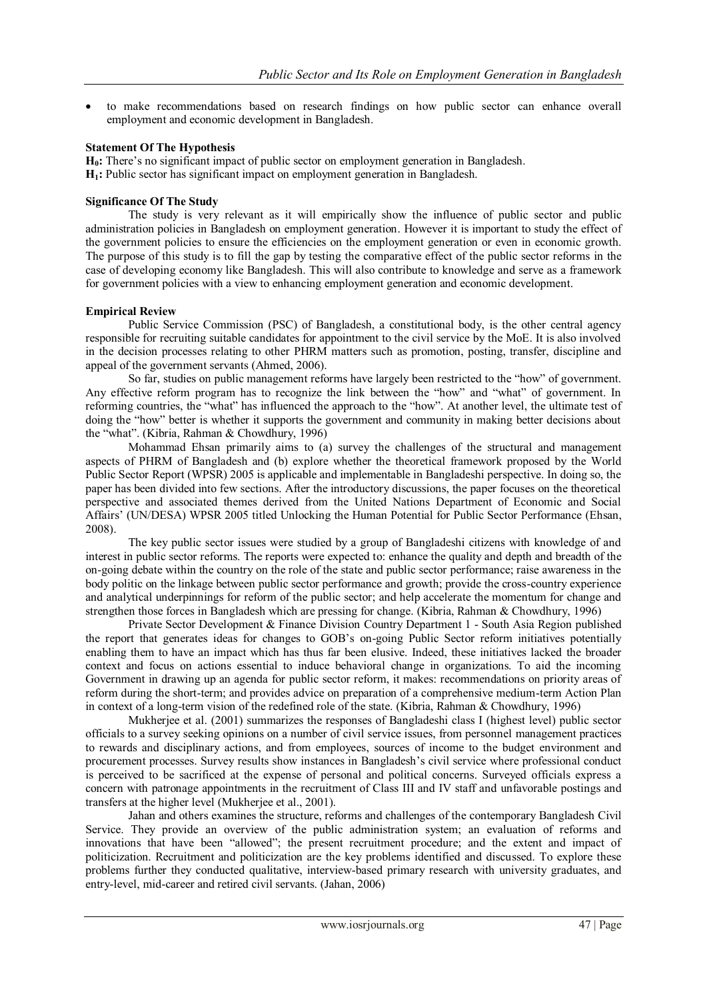to make recommendations based on research findings on how public sector can enhance overall employment and economic development in Bangladesh.

#### **Statement Of The Hypothesis**

**H0:** There's no significant impact of public sector on employment generation in Bangladesh. **H1:** Public sector has significant impact on employment generation in Bangladesh.

#### **Significance Of The Study**

The study is very relevant as it will empirically show the influence of public sector and public administration policies in Bangladesh on employment generation. However it is important to study the effect of the government policies to ensure the efficiencies on the employment generation or even in economic growth. The purpose of this study is to fill the gap by testing the comparative effect of the public sector reforms in the case of developing economy like Bangladesh. This will also contribute to knowledge and serve as a framework for government policies with a view to enhancing employment generation and economic development.

#### **Empirical Review**

Public Service Commission (PSC) of Bangladesh, a constitutional body, is the other central agency responsible for recruiting suitable candidates for appointment to the civil service by the MoE. It is also involved in the decision processes relating to other PHRM matters such as promotion, posting, transfer, discipline and appeal of the government servants (Ahmed, 2006).

So far, studies on public management reforms have largely been restricted to the "how" of government. Any effective reform program has to recognize the link between the "how" and "what" of government. In reforming countries, the "what" has influenced the approach to the "how". At another level, the ultimate test of doing the "how" better is whether it supports the government and community in making better decisions about the "what". (Kibria, Rahman & Chowdhury, 1996)

Mohammad Ehsan primarily aims to (a) survey the challenges of the structural and management aspects of PHRM of Bangladesh and (b) explore whether the theoretical framework proposed by the World Public Sector Report (WPSR) 2005 is applicable and implementable in Bangladeshi perspective. In doing so, the paper has been divided into few sections. After the introductory discussions, the paper focuses on the theoretical perspective and associated themes derived from the United Nations Department of Economic and Social Affairs' (UN/DESA) WPSR 2005 titled Unlocking the Human Potential for Public Sector Performance (Ehsan, 2008).

The key public sector issues were studied by a group of Bangladeshi citizens with knowledge of and interest in public sector reforms. The reports were expected to: enhance the quality and depth and breadth of the on-going debate within the country on the role of the state and public sector performance; raise awareness in the body politic on the linkage between public sector performance and growth; provide the cross-country experience and analytical underpinnings for reform of the public sector; and help accelerate the momentum for change and strengthen those forces in Bangladesh which are pressing for change. (Kibria, Rahman & Chowdhury, 1996)

Private Sector Development & Finance Division Country Department 1 - South Asia Region published the report that generates ideas for changes to GOB's on-going Public Sector reform initiatives potentially enabling them to have an impact which has thus far been elusive. Indeed, these initiatives lacked the broader context and focus on actions essential to induce behavioral change in organizations. To aid the incoming Government in drawing up an agenda for public sector reform, it makes: recommendations on priority areas of reform during the short-term; and provides advice on preparation of a comprehensive medium-term Action Plan in context of a long-term vision of the redefined role of the state. (Kibria, Rahman & Chowdhury, 1996)

Mukherjee et al. (2001) summarizes the responses of Bangladeshi class I (highest level) public sector officials to a survey seeking opinions on a number of civil service issues, from personnel management practices to rewards and disciplinary actions, and from employees, sources of income to the budget environment and procurement processes. Survey results show instances in Bangladesh's civil service where professional conduct is perceived to be sacrificed at the expense of personal and political concerns. Surveyed officials express a concern with patronage appointments in the recruitment of Class III and IV staff and unfavorable postings and transfers at the higher level (Mukherjee et al., 2001).

Jahan and others examines the structure, reforms and challenges of the contemporary Bangladesh Civil Service. They provide an overview of the public administration system; an evaluation of reforms and innovations that have been "allowed"; the present recruitment procedure; and the extent and impact of politicization. Recruitment and politicization are the key problems identified and discussed. To explore these problems further they conducted qualitative, interview-based primary research with university graduates, and entry-level, mid-career and retired civil servants. (Jahan, 2006)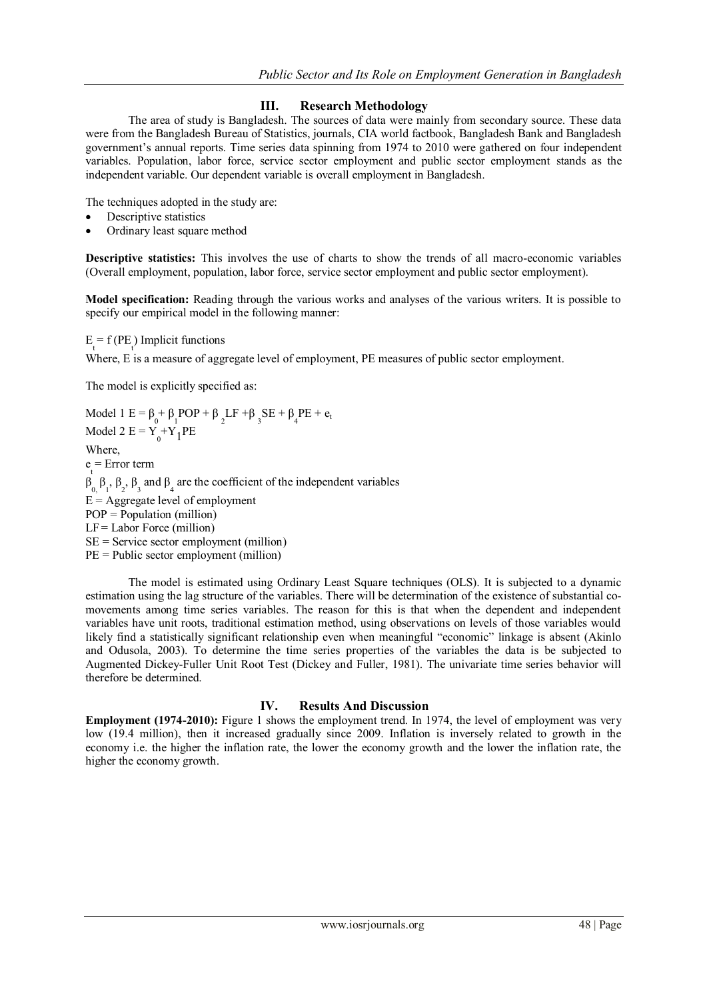## **III. Research Methodology**

The area of study is Bangladesh. The sources of data were mainly from secondary source. These data were from the Bangladesh Bureau of Statistics, journals, CIA world factbook, Bangladesh Bank and Bangladesh government's annual reports. Time series data spinning from 1974 to 2010 were gathered on four independent variables. Population, labor force, service sector employment and public sector employment stands as the independent variable. Our dependent variable is overall employment in Bangladesh.

The techniques adopted in the study are:

- Descriptive statistics
- Ordinary least square method

**Descriptive statistics:** This involves the use of charts to show the trends of all macro-economic variables (Overall employment, population, labor force, service sector employment and public sector employment).

**Model specification:** Reading through the various works and analyses of the various writers. It is possible to specify our empirical model in the following manner:

 $E_t = f(PE_t)$  Implicit functions

Where, E is a measure of aggregate level of employment, PE measures of public sector employment.

The model is explicitly specified as:

Model 1 E = β<sub>0</sub> + β<sub>1</sub>POP + β<sub>2</sub>LF +β<sub>3</sub>SE + β<sub>4</sub>PE + e<sub>t</sub> Model 2  $E = Y_0 + Y_1 PE$ Where,  $e_t =$  Error term  $\beta_0$ ,  $\beta_1$ ,  $\beta_2$ ,  $\beta_3$  and  $\beta_4$  are the coefficient of the independent variables  $E =$  Aggregate level of employment POP = Population (million)  $LF =$  Labor Force (million)  $SE =$  Service sector employment (million) PE = Public sector employment (million)

The model is estimated using Ordinary Least Square techniques (OLS). It is subjected to a dynamic estimation using the lag structure of the variables. There will be determination of the existence of substantial comovements among time series variables. The reason for this is that when the dependent and independent variables have unit roots, traditional estimation method, using observations on levels of those variables would likely find a statistically significant relationship even when meaningful "economic" linkage is absent (Akinlo and Odusola, 2003). To determine the time series properties of the variables the data is be subjected to Augmented Dickey-Fuller Unit Root Test (Dickey and Fuller, 1981). The univariate time series behavior will therefore be determined.

### **IV. Results And Discussion**

**Employment (1974-2010):** Figure 1 shows the employment trend. In 1974, the level of employment was very low (19.4 million), then it increased gradually since 2009. Inflation is inversely related to growth in the economy i.e. the higher the inflation rate, the lower the economy growth and the lower the inflation rate, the higher the economy growth.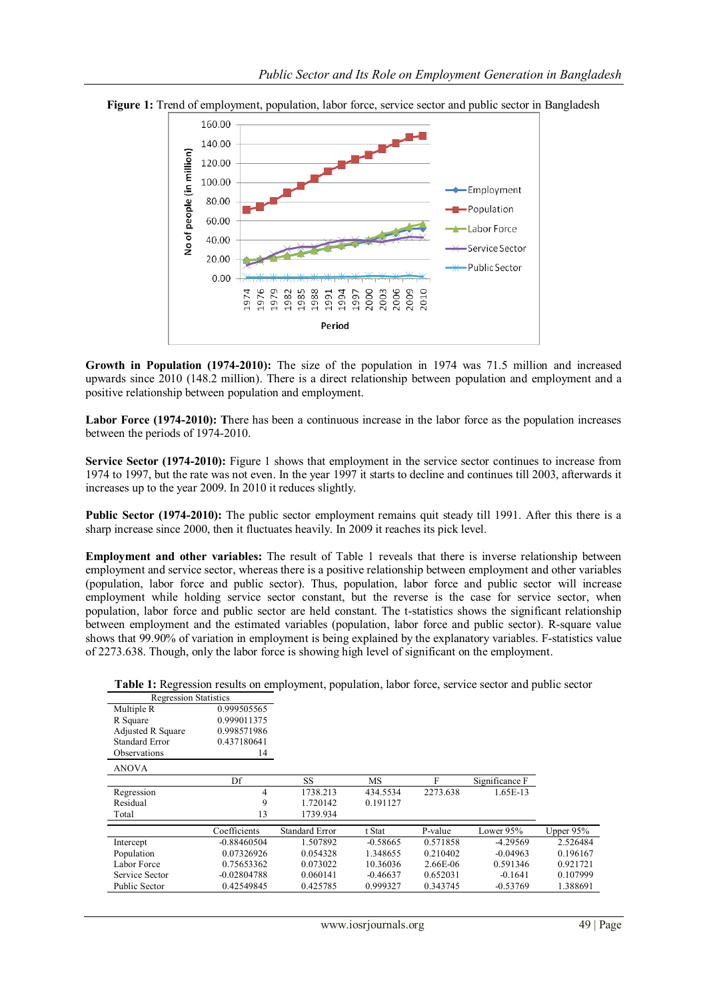

**Figure 1:** Trend of employment, population, labor force, service sector and public sector in Bangladesh

**Growth in Population (1974-2010):** The size of the population in 1974 was 71.5 million and increased upwards since 2010 (148.2 million). There is a direct relationship between population and employment and a positive relationship between population and employment.

**Labor Force (1974-2010): T**here has been a continuous increase in the labor force as the population increases between the periods of 1974-2010.

**Service Sector (1974-2010):** Figure 1 shows that employment in the service sector continues to increase from 1974 to 1997, but the rate was not even. In the year 1997 it starts to decline and continues till 2003, afterwards it increases up to the year 2009. In 2010 it reduces slightly.

**Public Sector (1974-2010):** The public sector employment remains quit steady till 1991. After this there is a sharp increase since 2000, then it fluctuates heavily. In 2009 it reaches its pick level.

**Employment and other variables:** The result of Table 1 reveals that there is inverse relationship between employment and service sector, whereas there is a positive relationship between employment and other variables (population, labor force and public sector). Thus, population, labor force and public sector will increase employment while holding service sector constant, but the reverse is the case for service sector, when population, labor force and public sector are held constant. The t-statistics shows the significant relationship between employment and the estimated variables (population, labor force and public sector). R-square value shows that 99.90% of variation in employment is being explained by the explanatory variables. F-statistics value of 2273.638. Though, only the labor force is showing high level of significant on the employment.

| <b>Regression Statistics</b> |               |                       |            |          |                |              |
|------------------------------|---------------|-----------------------|------------|----------|----------------|--------------|
| Multiple R                   | 0.999505565   |                       |            |          |                |              |
| R Square                     | 0.999011375   |                       |            |          |                |              |
| <b>Adjusted R Square</b>     | 0.998571986   |                       |            |          |                |              |
| <b>Standard Error</b>        | 0.437180641   |                       |            |          |                |              |
| Observations                 | 14            |                       |            |          |                |              |
| <b>ANOVA</b>                 |               |                       |            |          |                |              |
|                              | Df            | <b>SS</b>             | MS         | F        | Significance F |              |
| Regression                   | 4             | 1738.213              | 434.5534   | 2273.638 | 1.65E-13       |              |
| Residual                     | 9             | 1.720142              | 0.191127   |          |                |              |
| Total                        | 13            | 1739.934              |            |          |                |              |
|                              | Coefficients  | <b>Standard Error</b> | t Stat     | P-value  | Lower 95%      | Upper $95\%$ |
| Intercept                    | $-0.88460504$ | 1.507892              | $-0.58665$ | 0.571858 | -4.29569       | 2.526484     |
| Population                   | 0.07326926    | 0.054328              | 1.348655   | 0.210402 | $-0.04963$     | 0.196167     |
| Labor Force                  | 0.75653362    | 0.073022              | 10.36036   | 2.66E-06 | 0.591346       | 0.921721     |
| Service Sector               | $-0.02804788$ | 0.060141              | $-0.46637$ | 0.652031 | $-0.1641$      | 0.107999     |
| <b>Public Sector</b>         | 0.42549845    | 0.425785              | 0.999327   | 0.343745 | $-0.53769$     | 1.388691     |

**Table 1:** Regression results on employment, population, labor force, service sector and public sector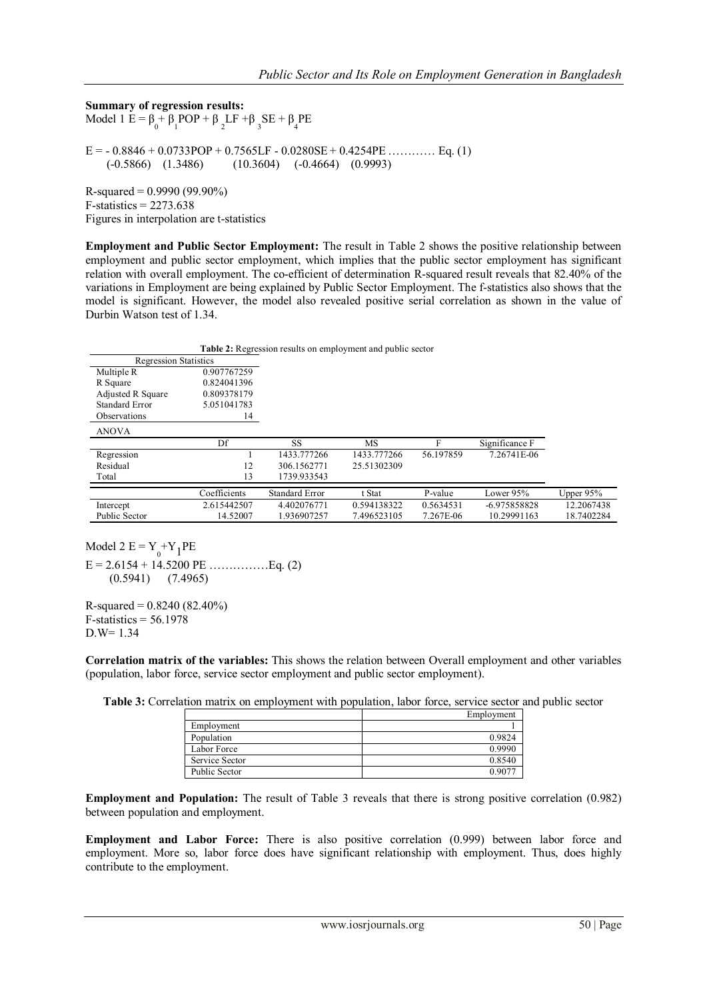**Summary of regression results:**  Model 1  $E = \beta_0 + \beta_1 POP + \beta_2 LF + \beta_3 SE + \beta_4 PE$ 

 $E = -0.8846 + 0.0733$  POP + 0.7565LF - 0.0280SE + 0.4254PE ............. Eq. (1) (-0.5866) (1.3486) (10.3604) (-0.4664) (0.9993)

R-squared =  $0.9990(99.90\%)$  $F-statistics = 2273.638$ Figures in interpolation are t-statistics

**Employment and Public Sector Employment:** The result in Table 2 shows the positive relationship between employment and public sector employment, which implies that the public sector employment has significant relation with overall employment. The co-efficient of determination R-squared result reveals that 82.40% of the variations in Employment are being explained by Public Sector Employment. The f-statistics also shows that the model is significant. However, the model also revealed positive serial correlation as shown in the value of Durbin Watson test of 1.34.

|                              |              | <b>Table 2:</b> Regression results on employment and public sector |             |           |                |             |
|------------------------------|--------------|--------------------------------------------------------------------|-------------|-----------|----------------|-------------|
| <b>Regression Statistics</b> |              |                                                                    |             |           |                |             |
| Multiple R                   | 0.907767259  |                                                                    |             |           |                |             |
| R Square                     | 0.824041396  |                                                                    |             |           |                |             |
| Adjusted R Square            | 0.809378179  |                                                                    |             |           |                |             |
| Standard Error               | 5.051041783  |                                                                    |             |           |                |             |
| Observations                 | 14           |                                                                    |             |           |                |             |
| <b>ANOVA</b>                 |              |                                                                    |             |           |                |             |
|                              | Df           | SS                                                                 | MS          | F         | Significance F |             |
| Regression                   |              | 1433.777266                                                        | 1433.777266 | 56.197859 | 7.26741E-06    |             |
| Residual                     | 12           | 306.1562771                                                        | 25.51302309 |           |                |             |
| Total                        | 13           | 1739.933543                                                        |             |           |                |             |
|                              | Coefficients | <b>Standard Error</b>                                              | t Stat      | P-value   | Lower $95%$    | Upper $95%$ |
| Intercept                    | 2.615442507  | 4.402076771                                                        | 0.594138322 | 0.5634531 | -6.975858828   | 12.2067438  |
| Public Sector                | 14.52007     | 1.936907257                                                        | 7.496523105 | 7.267E-06 | 10.29991163    | 18.7402284  |

Model 2  $E = Y_0 + Y_1 PE$ E = 2.6154 + 14.5200 PE ……………Eq. (2) (0.5941) (7.4965)

R-squared =  $0.8240(82.40\%)$  $F-statistics = 56.1978$  $D$  W= 1.34

**Correlation matrix of the variables:** This shows the relation between Overall employment and other variables (population, labor force, service sector employment and public sector employment).

| <b>Table 3:</b> Correlation matrix on employment with population, labor force, service sector and public sector |  |  |  |  |  |
|-----------------------------------------------------------------------------------------------------------------|--|--|--|--|--|
|                                                                                                                 |  |  |  |  |  |

|                | Employment |
|----------------|------------|
| Employment     |            |
| Population     | 0.9824     |
| Labor Force    | 0.9990     |
| Service Sector | 0.8540     |
| Public Sector  | 0.9077     |

**Employment and Population:** The result of Table 3 reveals that there is strong positive correlation (0.982) between population and employment.

**Employment and Labor Force:** There is also positive correlation (0.999) between labor force and employment. More so, labor force does have significant relationship with employment. Thus, does highly contribute to the employment.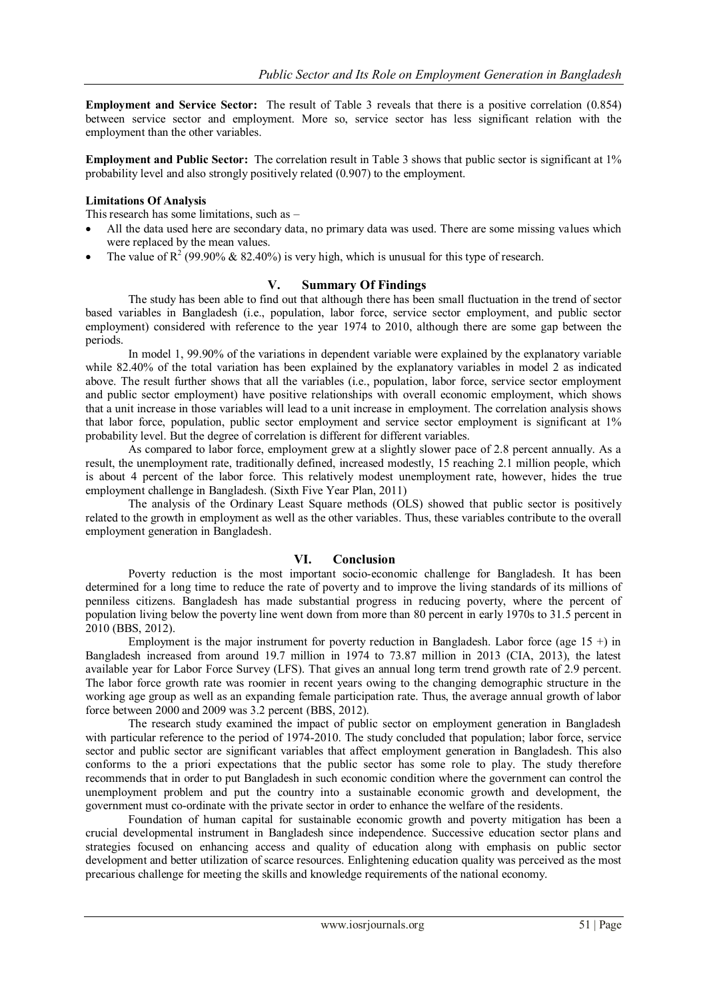**Employment and Service Sector:** The result of Table 3 reveals that there is a positive correlation (0.854) between service sector and employment. More so, service sector has less significant relation with the employment than the other variables.

**Employment and Public Sector:** The correlation result in Table 3 shows that public sector is significant at 1% probability level and also strongly positively related (0.907) to the employment.

#### **Limitations Of Analysis**

This research has some limitations, such as –

- All the data used here are secondary data, no primary data was used. There are some missing values which were replaced by the mean values.
- The value of  $R^2$  (99.90% & 82.40%) is very high, which is unusual for this type of research.

#### **V. Summary Of Findings**

The study has been able to find out that although there has been small fluctuation in the trend of sector based variables in Bangladesh (i.e., population, labor force, service sector employment, and public sector employment) considered with reference to the year 1974 to 2010, although there are some gap between the periods.

In model 1, 99.90% of the variations in dependent variable were explained by the explanatory variable while 82.40% of the total variation has been explained by the explanatory variables in model 2 as indicated above. The result further shows that all the variables (i.e., population, labor force, service sector employment and public sector employment) have positive relationships with overall economic employment, which shows that a unit increase in those variables will lead to a unit increase in employment. The correlation analysis shows that labor force, population, public sector employment and service sector employment is significant at 1% probability level. But the degree of correlation is different for different variables.

As compared to labor force, employment grew at a slightly slower pace of 2.8 percent annually. As a result, the unemployment rate, traditionally defined, increased modestly, 15 reaching 2.1 million people, which is about 4 percent of the labor force. This relatively modest unemployment rate, however, hides the true employment challenge in Bangladesh. (Sixth Five Year Plan, 2011)

The analysis of the Ordinary Least Square methods (OLS) showed that public sector is positively related to the growth in employment as well as the other variables. Thus, these variables contribute to the overall employment generation in Bangladesh.

### **VI. Conclusion**

Poverty reduction is the most important socio-economic challenge for Bangladesh. It has been determined for a long time to reduce the rate of poverty and to improve the living standards of its millions of penniless citizens. Bangladesh has made substantial progress in reducing poverty, where the percent of population living below the poverty line went down from more than 80 percent in early 1970s to 31.5 percent in 2010 (BBS, 2012).

Employment is the major instrument for poverty reduction in Bangladesh. Labor force (age  $15 +$ ) in Bangladesh increased from around 19.7 million in 1974 to 73.87 million in 2013 (CIA, 2013), the latest available year for Labor Force Survey (LFS). That gives an annual long term trend growth rate of 2.9 percent. The labor force growth rate was roomier in recent years owing to the changing demographic structure in the working age group as well as an expanding female participation rate. Thus, the average annual growth of labor force between 2000 and 2009 was 3.2 percent (BBS, 2012).

The research study examined the impact of public sector on employment generation in Bangladesh with particular reference to the period of 1974-2010. The study concluded that population; labor force, service sector and public sector are significant variables that affect employment generation in Bangladesh. This also conforms to the a priori expectations that the public sector has some role to play. The study therefore recommends that in order to put Bangladesh in such economic condition where the government can control the unemployment problem and put the country into a sustainable economic growth and development, the government must co-ordinate with the private sector in order to enhance the welfare of the residents.

Foundation of human capital for sustainable economic growth and poverty mitigation has been a crucial developmental instrument in Bangladesh since independence. Successive education sector plans and strategies focused on enhancing access and quality of education along with emphasis on public sector development and better utilization of scarce resources. Enlightening education quality was perceived as the most precarious challenge for meeting the skills and knowledge requirements of the national economy.